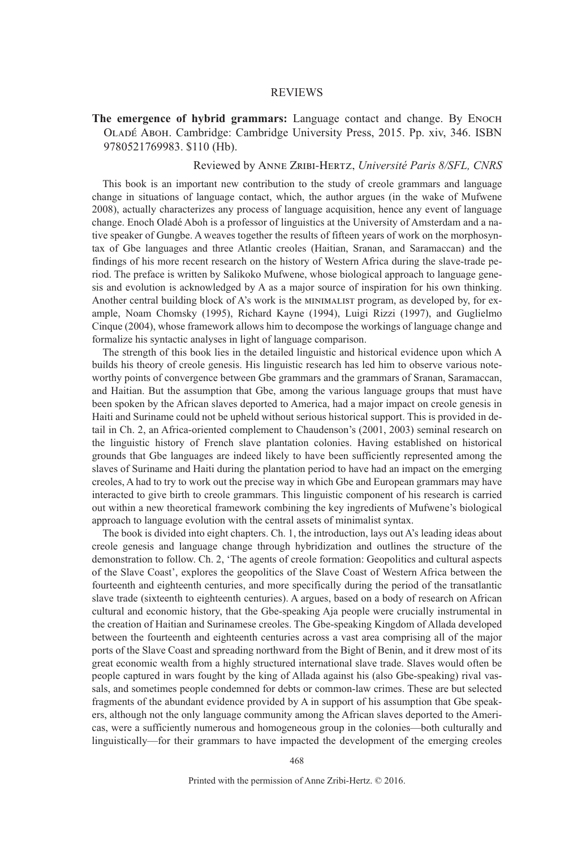## REVIEWS

# **The emergence of hybrid grammars:** Language contact and change. By Enoch Oladé Aboh. Cambridge: Cambridge University Press, 2015. Pp. xiv, 346. ISBN 9780521769983. \$110 (Hb).

### Reviewed by Anne Zribi-Hertz, *Université Paris 8/SFL, CNRS*

This book is an important new contribution to the study of creole grammars and language change in situations of language contact, which, the author argues (in the wake of Mufwene 2008), actually characterizes any process of language acquisition, hence any event of language change. Enoch Oladé Aboh is a professor of linguistics at the University of Amsterdam and a native speaker of Gungbe. A weaves together the results of fifteen years of work on the morphosyntax of Gbe languages and three Atlantic creoles (Haitian, Sranan, and Saramaccan) and the findings of his more recent research on the history of Western Africa during the slave-trade period. The preface is written by Salikoko Mufwene, whose biological approach to language genesis and evolution is acknowledged by A as a major source of inspiration for his own thinking. Another central building block of A's work is the minimalist program, as developed by, for example, Noam Chomsky (1995), Richard Kayne (1994), Luigi Rizzi (1997), and Guglielmo Cinque (2004), whose framework allows him to decompose the workings of language change and formalize his syntactic analyses in light of language comparison.

The strength of this book lies in the detailed linguistic and historical evidence upon which A builds his theory of creole genesis. His linguistic research has led him to observe various noteworthy points of convergence between Gbe grammars and the grammars of Sranan, Saramaccan, and Haitian. But the assumption that Gbe, among the various language groups that must have been spoken by the African slaves deported to America, had a major impact on creole genesis in Haiti and Suriname could not be upheld without serious historical support. This is provided in detail in Ch. 2, an Africa-oriented complement to Chaudenson's (2001, 2003) seminal research on the linguistic history of French slave plantation colonies. Having established on historical grounds that Gbe languages are indeed likely to have been sufficiently represented among the slaves of Suriname and Haiti during the plantation period to have had an impact on the emerging creoles, A had to try to work out the precise way in which Gbe and European grammars may have interacted to give birth to creole grammars. This linguistic component of his research is carried out within a new theoretical framework combining the key ingredients of Mufwene's biological approach to language evolution with the central assets of minimalist syntax.

The book is divided into eight chapters. Ch. 1, the introduction, lays out A's leading ideas about creole genesis and language change through hybridization and outlines the structure of the demonstration to follow. Ch. 2, 'The agents of creole formation: Geopolitics and cultural aspects of the Slave Coast', explores the geopolitics of the Slave Coast of Western Africa between the fourteenth and eighteenth centuries, and more specifically during the period of the transatlantic slave trade (sixteenth to eighteenth centuries). A argues, based on a body of research on African cultural and economic history, that the Gbe-speaking Aja people were crucially instrumental in the creation of Haitian and Surinamese creoles. The Gbe-speaking Kingdom of Allada developed between the fourteenth and eighteenth centuries across a vast area comprising all of the major ports of the Slave Coast and spreading northward from the Bight of Benin, and it drew most of its great economic wealth from a highly structured international slave trade. Slaves would often be people captured in wars fought by the king of Allada against his (also Gbe-speaking) rival vassals, and sometimes people condemned for debts or common-law crimes. These are but selected fragments of the abundant evidence provided by A in support of his assumption that Gbe speakers, although not the only language community among the African slaves deported to the Americas, were a sufficiently numerous and homogeneous group in the colonies—both culturally and linguistically—for their grammars to have impacted the development of the emerging creoles

468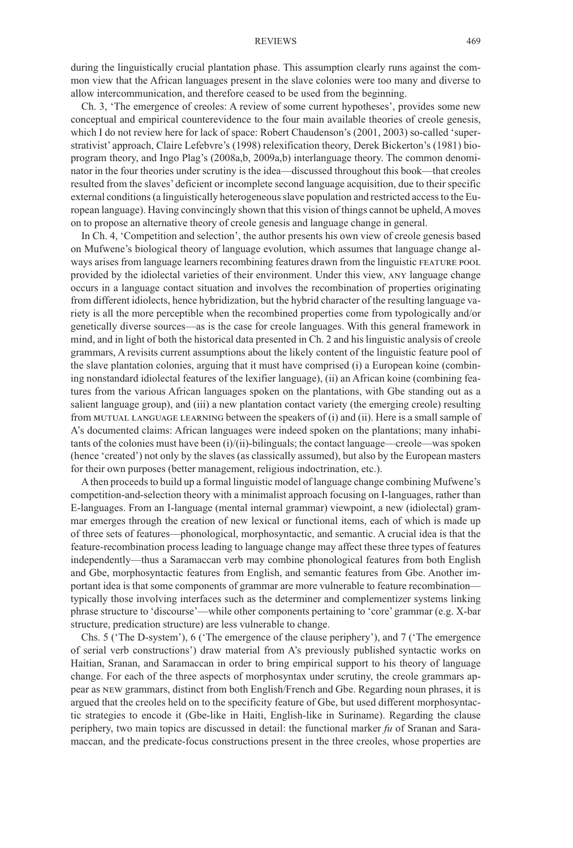#### REVIEWS 469

during the linguistically crucial plantation phase. This assumption clearly runs against the common view that the African languages present in the slave colonies were too many and diverse to allow intercommunication, and therefore ceased to be used from the beginning.

Ch. 3, 'The emergence of creoles: A review of some current hypotheses', provides some new conceptual and empirical counterevidence to the four main available theories of creole genesis, which I do not review here for lack of space: Robert Chaudenson's (2001, 2003) so-called 'superstrativist' approach, Claire Lefebvre's (1998) relexification theory, Derek Bickerton's (1981) bioprogram theory, and Ingo Plag's (2008a,b, 2009a,b) interlanguage theory. The common denominator in the four theories under scrutiny is the idea—discussed throughout this book—that creoles resulted from the slaves' deficient or incomplete second language acquisition, due to their specific external conditions (a linguistically heterogeneous slave population and restricted access to the European language). Having convincingly shown that this vision of things cannot be upheld,Amoves on to propose an alternative theory of creole genesis and language change in general.

In Ch. 4, 'Competition and selection', the author presents his own view of creole genesis based on Mufwene's biological theory of language evolution, which assumes that language change always arises from language learners recombining features drawn from the linguistic feature pool provided by the idiolectal varieties of their environment. Under this view, any language change occurs in a language contact situation and involves the recombination of properties originating from different idiolects, hence hybridization, but the hybrid character of the resulting language variety is all the more perceptible when the recombined properties come from typologically and/or genetically diverse sources—as is the case for creole languages. With this general framework in mind, and in light of both the historical data presented in Ch. 2 and his linguistic analysis of creole grammars, A revisits current assumptions about the likely content of the linguistic feature pool of the slave plantation colonies, arguing that it must have comprised (i) a European koine (combining nonstandard idiolectal features of the lexifier language), (ii) an African koine (combining features from the various African languages spoken on the plantations, with Gbe standing out as a salient language group), and (iii) a new plantation contact variety (the emerging creole) resulting from mutual language learning between the speakers of (i) and (ii). Here is a small sample of A's documented claims: African languages were indeed spoken on the plantations; many inhabitants of the colonies must have been  $(i)/(ii)$ -bilinguals; the contact language—creole—was spoken (hence 'created') not only by the slaves (as classically assumed), but also by the European masters for their own purposes (better management, religious indoctrination, etc.).

Athen proceedsto build up a formal linguistic model of language change combining Mufwene's competition-and-selection theory with a minimalist approach focusing on I-languages, rather than E-languages. From an I-language (mental internal grammar) viewpoint, a new (idiolectal) grammar emerges through the creation of new lexical or functional items, each of which is made up of three sets of features—phonological, morphosyntactic, and semantic. A crucial idea is that the feature-recombination process leading to language change may affect these three types of features independently—thus a Saramaccan verb may combine phonological features from both English and Gbe, morphosyntactic features from English, and semantic features from Gbe. Another important idea is that some components of grammar are more vulnerable to feature recombination typically those involving interfaces such as the determiner and complementizer systems linking phrase structure to 'discourse'—while other components pertaining to 'core' grammar (e.g. X-bar structure, predication structure) are less vulnerable to change.

Chs. 5 ('The D-system'), 6 ('The emergence of the clause periphery'), and 7 ('The emergence of serial verb constructions') draw material from A's previously published syntactic works on Haitian, Sranan, and Saramaccan in order to bring empirical support to his theory of language change. For each of the three aspects of morphosyntax under scrutiny, the creole grammars appear as new grammars, distinct from both English/French and Gbe. Regarding noun phrases, it is argued that the creoles held on to the specificity feature of Gbe, but used different morphosyntactic strategies to encode it (Gbe-like in Haiti, English-like in Suriname). Regarding the clause periphery, two main topics are discussed in detail: the functional marker *fu* of Sranan and Saramaccan, and the predicate-focus constructions present in the three creoles, whose properties are